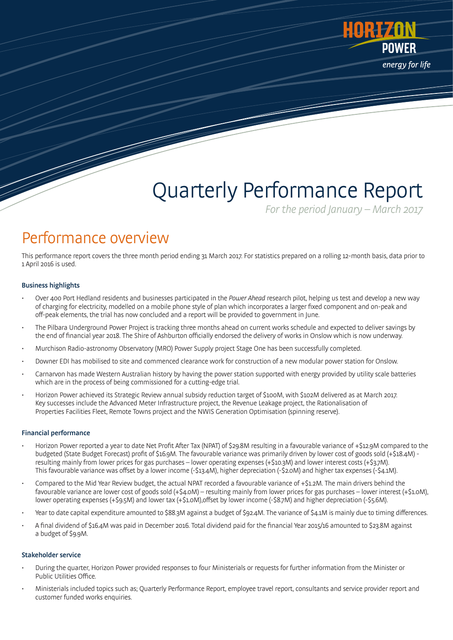

# Quarterly Performance Report

For the period January – March 2017

### Performance overview

This performance report covers the three month period ending 31 March 2017. For statistics prepared on a rolling 12-month basis, data prior to 1 April 2016 is used.

#### Business highlights

- Over 400 Port Hedland residents and businesses participated in the Power Ahead research pilot, helping us test and develop a new way of charging for electricity, modelled on a mobile phone style of plan which incorporates a larger fixed component and on-peak and off-peak elements, the trial has now concluded and a report will be provided to government in June.
- The Pilbara Underground Power Project is tracking three months ahead on current works schedule and expected to deliver savings by the end of financial year 2018. The Shire of Ashburton officially endorsed the delivery of works in Onslow which is now underway.
- Murchison Radio-astronomy Observatory (MRO) Power Supply project Stage One has been successfully completed.
- Downer EDI has mobilised to site and commenced clearance work for construction of a new modular power station for Onslow.
- Carnarvon has made Western Australian history by having the power station supported with energy provided by utility scale batteries which are in the process of being commissioned for a cutting-edge trial.
- Horizon Power achieved its Strategic Review annual subsidy reduction target of \$100M, with \$102M delivered as at March 2017. Key successes include the Advanced Meter Infrastructure project, the Revenue Leakage project, the Rationalisation of Properties Facilities Fleet, Remote Towns project and the NWIS Generation Optimisation (spinning reserve).

#### Financial performance

- Horizon Power reported a year to date Net Profit After Tax (NPAT) of \$29.8M resulting in a favourable variance of +\$12.9M compared to the budgeted (State Budget Forecast) profit of \$16.9M. The favourable variance was primarily driven by lower cost of goods sold (+\$18.4M) resulting mainly from lower prices for gas purchases – lower operating expenses (+\$10.3M) and lower interest costs (+\$3.7M). This favourable variance was offset by a lower income (-\$13.4M), higher depreciation (-\$2.0M) and higher tax expenses (-\$4.1M).
- Compared to the Mid Year Review budget, the actual NPAT recorded a favourable variance of +\$1.2M. The main drivers behind the favourable variance are lower cost of goods sold (+\$4.0M) – resulting mainly from lower prices for gas purchases – lower interest (+\$1.0M), lower operating expenses (+\$9.5M) and lower tax (+\$1.0M),offset by lower income (-\$8.7M) and higher depreciation (-\$5.6M).
- Year to date capital expenditure amounted to \$88.3M against a budget of \$92.4M. The variance of \$4.1M is mainly due to timing differences.
- A final dividend of \$16.4M was paid in December 2016. Total dividend paid for the financial Year 2015/16 amounted to \$23.8M against a budget of \$9.9M.

#### Stakeholder service

- During the quarter, Horizon Power provided responses to four Ministerials or requests for further information from the Minister or Public Utilities Office.
- Ministerials included topics such as; Quarterly Performance Report, employee travel report, consultants and service provider report and customer funded works enquiries.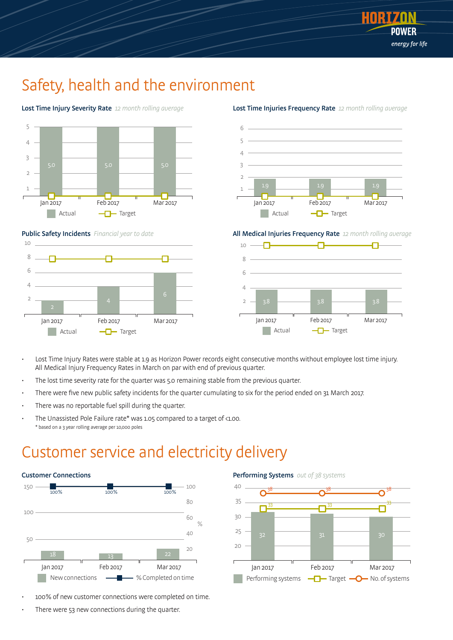

### Safety, health and the environment





Public Safety Incidents Financial year to date



#### 1.9 1.9 1.9 2 1 3 4 6 5

Lost Time Injuries Frequency Rate 12 month rolling average

All Medical Injuries Frequency Rate 12 month rolling average

Jan 2017 Feb 2017 Mar 2017  $\neg$ Target

Actual

**Tara** 



- Lost Time Injury Rates were stable at 1.9 as Horizon Power records eight consecutive months without employee lost time injury. All Medical Injury Frequency Rates in March on par with end of previous quarter.
- The lost time severity rate for the quarter was 5.0 remaining stable from the previous quarter.
- There were five new public safety incidents for the quarter cumulating to six for the period ended on 31 March 2017.
- There was no reportable fuel spill during the quarter.
- The Unassisted Pole Failure rate\* was 1.05 compared to a target of <1.00. \* based on a 3 year rolling average per 10,000 poles

### Customer service and electricity delivery



- 100% of new customer connections were completed on time.
- There were 53 new connections during the quarter.

Performing Systems out of 38 systems

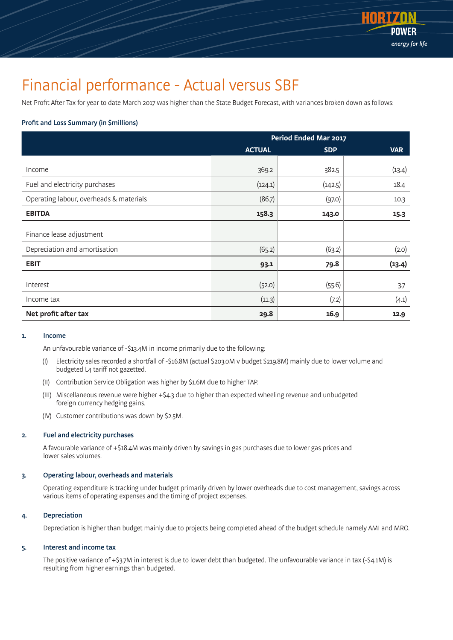

### Financial performance - Actual versus SBF

Net Profit After Tax for year to date March 2017 was higher than the State Budget Forecast, with variances broken down as follows:

#### Profit and Loss Summary (in \$millions)

|                                         | <b>Period Ended Mar 2017</b> |            |            |  |
|-----------------------------------------|------------------------------|------------|------------|--|
|                                         | <b>ACTUAL</b>                | <b>SDP</b> | <b>VAR</b> |  |
| Income                                  | 369.2                        | 382.5      | (13.4)     |  |
| Fuel and electricity purchases          | (124.1)                      | (142.5)    | 18.4       |  |
| Operating labour, overheads & materials | (86.7)                       | (97.0)     | 10.3       |  |
| <b>EBITDA</b>                           | 158.3                        | 143.0      | 15.3       |  |
| Finance lease adjustment                |                              |            |            |  |
| Depreciation and amortisation           | (65.2)                       | (63.2)     | (2.0)      |  |
| <b>EBIT</b>                             | 93.1                         | 79.8       | (13.4)     |  |
| Interest                                | (52.0)                       | (55.6)     | 3.7        |  |
| Income tax                              | (11.3)                       | (7.2)      | (4.1)      |  |
| Net profit after tax                    | 29.8                         | 16.9       | 12.9       |  |

#### 1. Income

An unfavourable variance of -\$13.4M in income primarily due to the following:

- (I) Electricity sales recorded a shortfall of -\$16.8M (actual \$203.0M v budget \$219.8M) mainly due to lower volume and budgeted L4 tariff not gazetted.
- (II) Contribution Service Obligation was higher by \$1.6M due to higher TAP.
- (III) Miscellaneous revenue were higher +\$4.3 due to higher than expected wheeling revenue and unbudgeted foreign currency hedging gains.
- (IV) Customer contributions was down by \$2.5M.

#### 2. Fuel and electricity purchases

 A favourable variance of +\$18.4M was mainly driven by savings in gas purchases due to lower gas prices and lower sales volumes.

#### 3. Operating labour, overheads and materials

 Operating expenditure is tracking under budget primarily driven by lower overheads due to cost management, savings across various items of operating expenses and the timing of project expenses.

#### 4. Depreciation

Depreciation is higher than budget mainly due to projects being completed ahead of the budget schedule namely AMI and MRO.

#### 5. Interest and income tax

The positive variance of +\$3.7M in interest is due to lower debt than budgeted. The unfavourable variance in tax (-\$4.1M) is resulting from higher earnings than budgeted.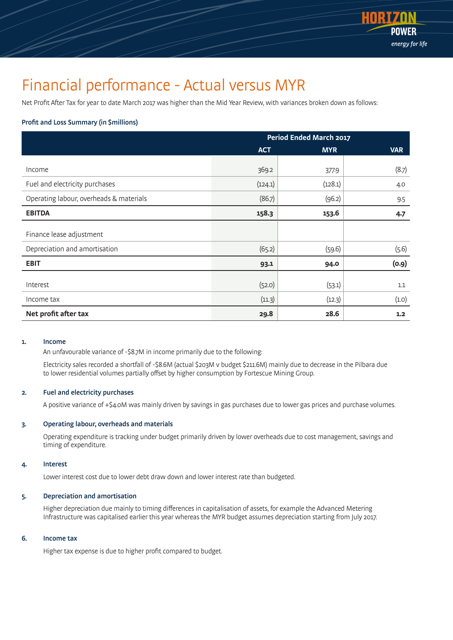

### Financial performance - Actual versus MYR

Net Profit After Tax for year to date March 2017 was higher than the Mid Year Review, with variances broken down as follows:

#### Profit and Loss Summary (in \$millions)

|                                         | <b>Period Ended March 2017</b> |            |            |  |
|-----------------------------------------|--------------------------------|------------|------------|--|
|                                         | <b>ACT</b>                     | <b>MYR</b> | <b>VAR</b> |  |
| Income                                  | 369.2                          | 377.9      | (8.7)      |  |
| Fuel and electricity purchases          | (124.1)                        | (128.1)    | 4.0        |  |
| Operating labour, overheads & materials | (86.7)                         | (96.2)     | 9.5        |  |
| <b>EBITDA</b>                           | 158.3                          | 153.6      | $4 - 7$    |  |
| Finance lease adjustment                |                                |            |            |  |
| Depreciation and amortisation           | (65.2)                         | (59.6)     | (5.6)      |  |
| <b>EBIT</b>                             | 93.1                           | 94.0       | (0.9)      |  |
| Interest                                | (52.0)                         | (53.1)     | 1.1        |  |
| Income tax                              | (11.3)                         | (12.3)     | (1.0)      |  |
| Net profit after tax                    | 29.8                           | 28.6       | 1.2        |  |

#### 1. Income

An unfavourable variance of -\$8.7M in income primarily due to the following:

 Electricity sales recorded a shortfall of -\$8.6M (actual \$203M v budget \$211.6M) mainly due to decrease in the Pilbara due to lower residential volumes partially offset by higher consumption by Fortescue Mining Group.

#### 2. Fuel and electricity purchases

A positive variance of +\$4.0M was mainly driven by savings in gas purchases due to lower gas prices and purchase volumes.

#### 3. Operating labour, overheads and materials

 Operating expenditure is tracking under budget primarily driven by lower overheads due to cost management, savings and timing of expenditure.

#### 4. Interest

Lower interest cost due to lower debt draw down and lower interest rate than budgeted.

#### 5. Depreciation and amortisation

 Higher depreciation due mainly to timing differences in capitalisation of assets, for example the Advanced Metering Infrastructure was capitalised earlier this year whereas the MYR budget assumes depreciation starting from July 2017.

#### 6. Income tax

Higher tax expense is due to higher profit compared to budget.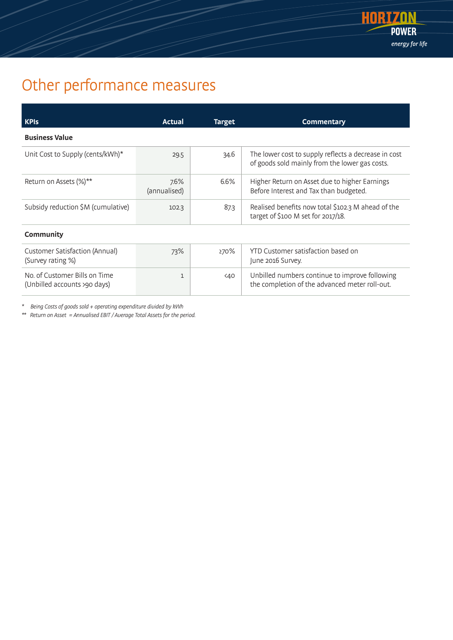

## Other performance measures

| <b>KPIs</b>                                                   | Actual                  | <b>Target</b> | <b>Commentary</b>                                                                                      |  |  |
|---------------------------------------------------------------|-------------------------|---------------|--------------------------------------------------------------------------------------------------------|--|--|
| <b>Business Value</b>                                         |                         |               |                                                                                                        |  |  |
| Unit Cost to Supply (cents/kWh)*                              | 29.5                    | 34.6          | The lower cost to supply reflects a decrease in cost<br>of goods sold mainly from the lower gas costs. |  |  |
| Return on Assets (%)**                                        | $7.6\%$<br>(annualised) | 6.6%          | Higher Return on Asset due to higher Earnings<br>Before Interest and Tax than budgeted.                |  |  |
| Subsidy reduction \$M (cumulative)                            | 102.3                   | 87.3          | Realised benefits now total \$102.3 M ahead of the<br>target of \$100 M set for 2017/18.               |  |  |
| Community                                                     |                         |               |                                                                                                        |  |  |
| Customer Satisfaction (Annual)<br>(Survey rating %)           | 73%                     | 270%          | YTD Customer satisfaction based on<br>June 2016 Survey.                                                |  |  |
| No. of Customer Bills on Time<br>(Unbilled accounts >90 days) | $\mathbf{1}$            | 40<           | Unbilled numbers continue to improve following<br>the completion of the advanced meter roll-out.       |  |  |

\* Being Costs of goods sold + operating expenditure divided by kWh

\*\* Return on Asset = Annualised EBIT / Average Total Assets for the period.